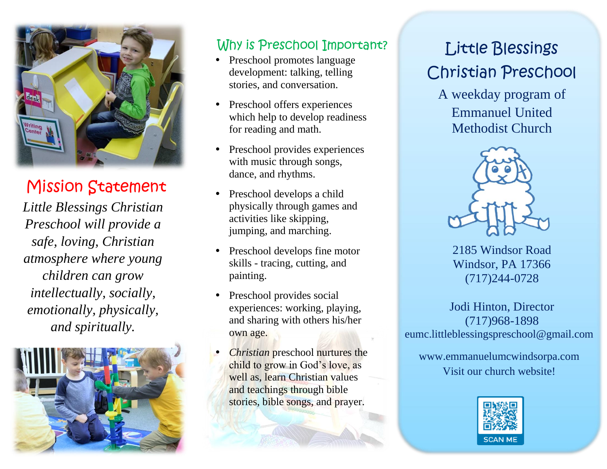

## Mission Statement

*Little Blessings Christian Preschool will provide a safe, loving, Christian atmosphere where young children can grow intellectually, socially, emotionally, physically, and spiritually.*



### Why is Preschool Important?

- Preschool promotes language development: talking, telling stories, and conversation.
- Preschool offers experiences which help to develop readiness for reading and math.
- Preschool provides experiences with music through songs, dance, and rhythms.
- Preschool develops a child physically through games and activities like skipping, jumping, and marching.
- Preschool develops fine motor skills - tracing, cutting, and painting.
- Preschool provides social experiences: working, playing, and sharing with others his/her own age.
- *Christian* preschool nurtures the child to grow in God's love, as well as, learn Christian values and teachings through bible stories, bible songs, and prayer.

# Little Blessings Christian Preschool

A weekday program of Emmanuel United Methodist Church



2185 Windsor Road Windsor, PA 17366 (717)244-0728

Jodi Hinton, Director (717)968-1898 eumc.littleblessingspreschool@gmail.com

www.emmanuelumcwindsorpa.com Visit our church website!